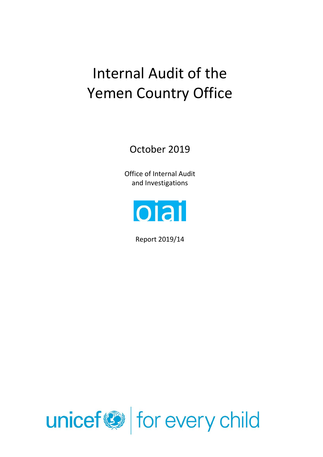# Internal Audit of the Yemen Country Office

October 2019

Office of Internal Audit and Investigations



Report 2019/14

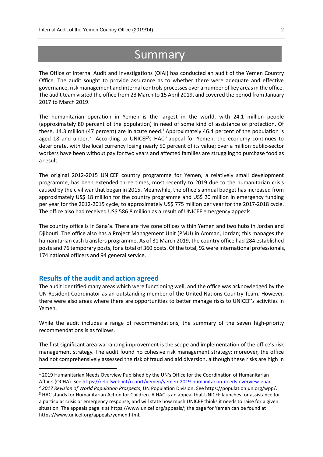# **Summary**

The Office of Internal Audit and Investigations (OIAI) has conducted an audit of the Yemen Country Office. The audit sought to provide assurance as to whether there were adequate and effective governance, risk management and internal controls processes over a number of key areas in the office. The audit team visited the office from 23 March to 15 April 2019, and covered the period from January 2017 to March 2019.

The humanitarian operation in Yemen is the largest in the world, with 24.1 million people (approximately 80 percent of the population) in need of some kind of assistance or protection. Of these, 14.3 million (47 percent) are in acute need.<sup>1</sup> Approximately 46.4 percent of the population is aged 18 and under.<sup>2</sup> According to UNICEF's HAC<sup>3</sup> appeal for Yemen, the economy continues to deteriorate, with the local currency losing nearly 50 percent of its value; over a million public-sector workers have been without pay for two years and affected families are struggling to purchase food as a result.

The original 2012-2015 UNICEF country programme for Yemen, a relatively small development programme, has been extended three times, most recently to 2019 due to the humanitarian crisis caused by the civil war that began in 2015. Meanwhile, the office's annual budget has increased from approximately US\$ 18 million for the country programme and US\$ 20 million in emergency funding per year for the 2012-2015 cycle, to approximately US\$ 775 million per year for the 2017-2018 cycle. The office also had received US\$ 586.8 million as a result of UNICEF emergency appeals.

The country office is in Sana'a. There are five zone offices within Yemen and two hubs in Jordan and Djibouti. The office also has a Project Management Unit (PMU) in Amman, Jordan; this manages the humanitarian cash transfers programme. As of 31 March 2019, the country office had 284 established posts and 76 temporary posts, for a total of 360 posts. Of the total, 92 were international professionals, 174 national officers and 94 general service.

# **Results of the audit and action agreed**

**.** 

The audit identified many areas which were functioning well, and the office was acknowledged by the UN Resident Coordinator as an outstanding member of the United Nations Country Team. However, there were also areas where there are opportunities to better manage risks to UNICEF's activities in Yemen.

While the audit includes a range of recommendations, the summary of the seven high-priority recommendations is as follows.

The first significant area warranting improvement is the scope and implementation of the office's risk management strategy. The audit found no cohesive risk management strategy; moreover, the office had not comprehensively assessed the risk of fraud and aid diversion, although these risks are high in

<sup>1</sup> 2019 Humanitarian Needs Overview Published by the UN's Office for the Coordination of Humanitarian Affairs (OCHA). See [https://reliefweb.int/report/yemen/yemen-2019-humanitarian-needs-overview-enar.](https://reliefweb.int/report/yemen/yemen-2019-humanitarian-needs-overview-enar)

<sup>2</sup> *2017 Revision of World Population Prospects*, UN Population Division. See https://population.un.org/wpp/. <sup>3</sup> HAC stands for Humanitarian Action for Children. A HAC is an appeal that UNICEF launches for assistance for a particular crisis or emergency response, and will state how much UNICEF thinks it needs to raise for a given situation. The appeals page is at https://www.unicef.org/appeals/; the page for Yemen can be found at https://www.unicef.org/appeals/yemen.html.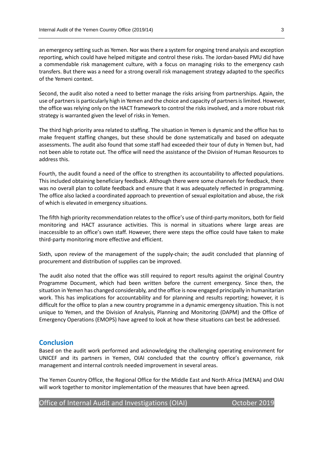an emergency setting such as Yemen. Nor was there a system for ongoing trend analysis and exception reporting, which could have helped mitigate and control these risks. The Jordan-based PMU did have a commendable risk management culture, with a focus on managing risks to the emergency cash transfers. But there was a need for a strong overall risk management strategy adapted to the specifics of the Yemeni context.

Second, the audit also noted a need to better manage the risks arising from partnerships. Again, the use of partners is particularly high in Yemen and the choice and capacity of partners is limited. However, the office was relying only on the HACT framework to control the risks involved, and a more robust risk strategy is warranted given the level of risks in Yemen.

The third high priority area related to staffing. The situation in Yemen is dynamic and the office has to make frequent staffing changes, but these should be done systematically and based on adequate assessments. The audit also found that some staff had exceeded their tour of duty in Yemen but, had not been able to rotate out. The office will need the assistance of the Division of Human Resources to address this.

Fourth, the audit found a need of the office to strengthen its accountability to affected populations. This included obtaining beneficiary feedback. Although there were some channels for feedback, there was no overall plan to collate feedback and ensure that it was adequately reflected in programming. The office also lacked a coordinated approach to prevention of sexual exploitation and abuse, the risk of which is elevated in emergency situations.

The fifth high priority recommendation relates to the office's use of third-party monitors, both for field monitoring and HACT assurance activities. This is normal in situations where large areas are inaccessible to an office's own staff. However, there were steps the office could have taken to make third-party monitoring more effective and efficient.

Sixth, upon review of the management of the supply-chain; the audit concluded that planning of procurement and distribution of supplies can be improved.

The audit also noted that the office was still required to report results against the original Country Programme Document, which had been written before the current emergency. Since then, the situation in Yemen has changed considerably, and the office is now engaged principally in humanitarian work. This has implications for accountability and for planning and results reporting; however, it is difficult for the office to plan a new country programme in a dynamic emergency situation. This is not unique to Yemen, and the Division of Analysis, Planning and Monitoring (DAPM) and the Office of Emergency Operations (EMOPS) have agreed to look at how these situations can best be addressed.

# **Conclusion**

Based on the audit work performed and acknowledging the challenging operating environment for UNICEF and its partners in Yemen, OIAI concluded that the country office's governance, risk management and internal controls needed improvement in several areas.

The Yemen Country Office, the Regional Office for the Middle East and North Africa (MENA) and OIAI will work together to monitor implementation of the measures that have been agreed.

Office of Internal Audit and Investigations (OIAI) Correction Corpus Corpus 2019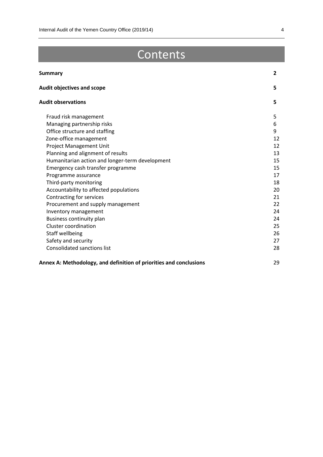# Contents

| <b>Summary</b>                                                     | $\overline{2}$ |
|--------------------------------------------------------------------|----------------|
| <b>Audit objectives and scope</b>                                  | 5              |
| <b>Audit observations</b>                                          | 5              |
| Fraud risk management                                              | 5              |
| Managing partnership risks                                         | 6              |
| Office structure and staffing                                      | 9              |
| Zone-office management                                             | 12             |
| Project Management Unit                                            | 12             |
| Planning and alignment of results                                  | 13             |
| Humanitarian action and longer-term development                    | 15             |
| Emergency cash transfer programme                                  | 15             |
| Programme assurance                                                | 17             |
| Third-party monitoring                                             | 18             |
| Accountability to affected populations                             | 20             |
| Contracting for services                                           | 21             |
| Procurement and supply management                                  | 22             |
| Inventory management                                               | 24             |
| Business continuity plan                                           | 24             |
| Cluster coordination                                               | 25             |
| Staff wellbeing                                                    | 26             |
| Safety and security                                                | 27             |
| <b>Consolidated sanctions list</b>                                 | 28             |
| Annex A: Methodology, and definition of priorities and conclusions | 29             |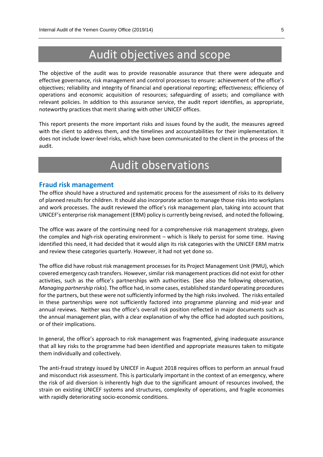# Audit objectives and scope

The objective of the audit was to provide reasonable assurance that there were adequate and effective governance, risk management and control processes to ensure: achievement of the office's objectives; reliability and integrity of financial and operational reporting; effectiveness; efficiency of operations and economic acquisition of resources; safeguarding of assets; and compliance with relevant policies. In addition to this assurance service, the audit report identifies, as appropriate, noteworthy practices that merit sharing with other UNICEF offices.

This report presents the more important risks and issues found by the audit, the measures agreed with the client to address them, and the timelines and accountabilities for their implementation. It does not include lower-level risks, which have been communicated to the client in the process of the audit.

# Audit observations

#### **Fraud risk management**

The office should have a structured and systematic process for the assessment of risks to its delivery of planned results for children. It should also incorporate action to manage those risks into workplans and work processes. The audit reviewed the office's risk management plan, taking into account that UNICEF's enterprise risk management (ERM) policy is currently being revised, and noted the following.

The office was aware of the continuing need for a comprehensive risk management strategy, given the complex and high-risk operating environment – which is likely to persist for some time. Having identified this need, it had decided that it would align its risk categories with the UNICEF ERM matrix and review these categories quarterly. However, it had not yet done so.

The office did have robust risk management processes for its Project Management Unit (PMU), which covered emergency cash transfers. However, similar risk management practices did not exist for other activities, such as the office's partnerships with authorities. (See also the following observation, *Managing partnership risks*). The office had, in some cases, established standard operating procedures for the partners, but these were not sufficiently informed by the high risksinvolved. The risks entailed in these partnerships were not sufficiently factored into programme planning and mid-year and annual reviews. Neither was the office's overall risk position reflected in major documents such as the annual management plan, with a clear explanation of why the office had adopted such positions, or of their implications.

In general, the office's approach to risk management was fragmented, giving inadequate assurance that all key risks to the programme had been identified and appropriate measures taken to mitigate them individually and collectively.

The anti-fraud strategy issued by UNICEF in August 2018 requires offices to perform an annual fraud and misconduct risk assessment. This is particularly important in the context of an emergency, where the risk of aid diversion is inherently high due to the significant amount of resources involved, the strain on existing UNICEF systems and structures, complexity of operations, and fragile economies with rapidly deteriorating socio-economic conditions.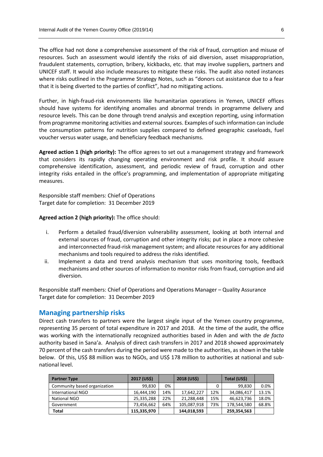The office had not done a comprehensive assessment of the risk of fraud, corruption and misuse of resources. Such an assessment would identify the risks of aid diversion, asset misappropriation, fraudulent statements, corruption, bribery, kickbacks, etc. that may involve suppliers, partners and UNICEF staff. It would also include measures to mitigate these risks. The audit also noted instances where risks outlined in the Programme Strategy Notes, such as "donors cut assistance due to a fear that it is being diverted to the parties of conflict", had no mitigating actions.

Further, in high-fraud-risk environments like humanitarian operations in Yemen, UNICEF offices should have systems for identifying anomalies and abnormal trends in programme delivery and resource levels. This can be done through trend analysis and exception reporting, using information from programme monitoring activities and external sources. Examples of such information can include the consumption patterns for nutrition supplies compared to defined geographic caseloads, fuel voucher versus water usage, and beneficiary feedback mechanisms.

**Agreed action 1 (high priority):** The office agrees to set out a management strategy and framework that considers its rapidly changing operating environment and risk profile. It should assure comprehensive identification, assessment, and periodic review of fraud, corruption and other integrity risks entailed in the office's programming, and implementation of appropriate mitigating measures.

Responsible staff members: Chief of Operations Target date for completion: 31 December 2019

**Agreed action 2 (high priority):** The office should:

- i. Perform a detailed fraud/diversion vulnerability assessment, looking at both internal and external sources of fraud, corruption and other integrity risks; put in place a more cohesive and interconnected fraud-risk management system; and allocate resources for any additional mechanisms and tools required to address the risks identified.
- ii. Implement a data and trend analysis mechanism that uses monitoring tools, feedback mechanisms and other sources of information to monitor risks from fraud, corruption and aid diversion.

Responsible staff members: Chief of Operations and Operations Manager – Quality Assurance Target date for completion: 31 December 2019

### **Managing partnership risks**

Direct cash transfers to partners were the largest single input of the Yemen country programme, representing 35 percent of total expenditure in 2017 and 2018. At the time of the audit, the office was working with the internationally recognized authorities based in Aden and with the *de facto* authority based in Sana'a. Analysis of direct cash transfers in 2017 and 2018 showed approximately 70 percent of the cash transfers during the period were made to the authorities, as shown in the table below. Of this, US\$ 88 million was to NGOs, and US\$ 178 million to authorities at national and subnational level.

| <b>Partner Type</b>          | 2017 (US\$) |     | 2018 (US\$) |     | Total (US\$) |       |
|------------------------------|-------------|-----|-------------|-----|--------------|-------|
| Community based organization | 99.830      | 0%  |             | 0   | 99,830       | 0.0%  |
| International NGO            | 16,444,190  | 14% | 17,642,227  | 12% | 34,086,417   | 13.1% |
| National NGO                 | 25,335,288  | 22% | 21,288,448  | 15% | 46,623,736   | 18.0% |
| Government                   | 73,456,662  | 64% | 105,087,918 | 73% | 178.544.580  | 68.8% |
| Total                        | 115.335.970 |     | 144,018,593 |     | 259,354,563  |       |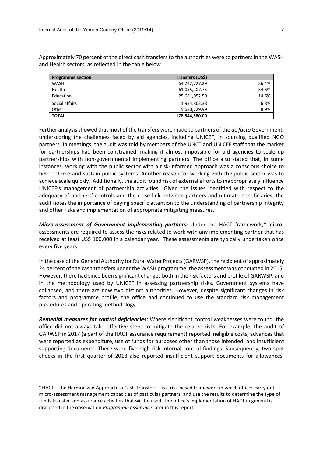Approximately 70 percent of the direct cash transfers to the authorities were to partners in the WASH and Health sectors, as reflected in the table below.

| <b>Programme section</b> | Transfers (US\$) |       |
|--------------------------|------------------|-------|
| <b>WASH</b>              | 64,242,727.29    | 36.4% |
| Health                   | 61,055,207.75    | 34.6% |
| Education                | 25,681,052.59    | 14.6% |
| Social affairs           | 11,934,862.38    | 6.8%  |
| Other                    | 15.630.729.99    | 8.9%  |
| <b>TOTAL</b>             | 178,544,580.00   |       |

Further analysis showed that most of the transfers were made to partners of the *de facto* Government, underscoring the challenges faced by aid agencies, including UNICEF, in sourcing qualified NGO partners. In meetings, the audit was told by members of the UNCT and UNICEF staff that the market for partnerships had been constrained, making it almost impossible for aid agencies to scale up partnerships with non-governmental implementing partners. The office also stated that, in some instances, working with the public sector with a risk-informed approach was a conscious choice to help enforce and sustain public systems. Another reason for working with the public sector was to achieve scale quickly. Additionally, the audit found risk of external efforts to inappropriately influence UNICEF's management of partnership activities. Given the issues identified with respect to the adequacy of partners' controls and the close link between partners and ultimate beneficiaries, the audit notes the importance of paying specific attention to the understanding of partnership integrity and other risks and implementation of appropriate mitigating measures.

*Micro-assessment of Government implementing partners:* Under the HACT framework,<sup>4</sup> microassessments are required to assess the risks related to work with any implementing partner that has received at least US\$ 100,000 in a calendar year. These assessments are typically undertaken once every five years.

In the case of the General Authority for Rural Water Projects (GARWSP), the recipient of approximately 24 percent of the cash transfers under the WASH programme, the assessment was conducted in 2015. However, there had since been significant changes both in the risk factors and profile of GARWSP, and in the methodology used by UNICEF in assessing partnership risks. Government systems have collapsed, and there are now two distinct authorities. However, despite significant changes in risk factors and programme profile, the office had continued to use the standard risk management procedures and operating methodology.

*Remedial measures for control deficiencies:* Where significant control weaknesses were found, the office did not always take effective steps to mitigate the related risks. For example, the audit of GARWSP in 2017 (a part of the HACT assurance requirement) reported ineligible costs, advances that were reported as expenditure, use of funds for purposes other than those intended, and insufficient supporting documents. There were five high risk internal control findings. Subsequently, two spot checks in the first quarter of 2018 also reported insufficient support documents for allowances,

 $\overline{a}$ 

<sup>4</sup> HACT – the Harmonized Approach to Cash Transfers – is a risk-based framework in which offices carry out micro-assessment management capacities of particular partners, and use the results to determine the type of funds transfer and assurance activities that will be used. The office's implementation of HACT in general is discussed in the observation *Programme assurance* later in this report.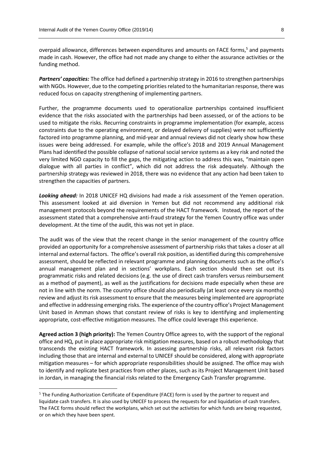overpaid allowance, differences between expenditures and amounts on FACE forms,<sup>5</sup> and payments made in cash. However, the office had not made any change to either the assurance activities or the funding method.

*Partners' capacities:* The office had defined a partnership strategy in 2016 to strengthen partnerships with NGOs. However, due to the competing priorities related to the humanitarian response, there was reduced focus on capacity strengthening of implementing partners.

Further, the programme documents used to operationalize partnerships contained insufficient evidence that the risks associated with the partnerships had been assessed, or of the actions to be used to mitigate the risks. Recurring constraints in programme implementation (for example, access constraints due to the operating environment, or delayed delivery of supplies) were not sufficiently factored into programme planning, and mid-year and annual reviews did not clearly show how these issues were being addressed. For example, while the office's 2018 and 2019 Annual Management Plans had identified the possible collapse of national social service systems as a key risk and noted the very limited NGO capacity to fill the gaps, the mitigating action to address this was, "maintain open dialogue with all parties in conflict", which did not address the risk adequately. Although the partnership strategy was reviewed in 2018, there was no evidence that any action had been taken to strengthen the capacities of partners.

*Looking ahead:* In 2018 UNICEF HQ divisions had made a risk assessment of the Yemen operation. This assessment looked at aid diversion in Yemen but did not recommend any additional risk management protocols beyond the requirements of the HACT framework. Instead, the report of the assessment stated that a comprehensive anti-fraud strategy for the Yemen Country office was under development. At the time of the audit, this was not yet in place.

The audit was of the view that the recent change in the senior management of the country office provided an opportunity for a comprehensive assessment of partnership risks that takes a closer at all internal and external factors. The office's overall risk position, as identified during this comprehensive assessment, should be reflected in relevant programme and planning documents such as the office's annual management plan and in sections' workplans. Each section should then set out its programmatic risks and related decisions (e.g. the use of direct cash transfers versus reimbursement as a method of payment), as well as the justifications for decisions made especially when these are not in line with the norm. The country office should also periodically (at least once every six months) review and adjust its risk assessment to ensure that the measures being implemented are appropriate and effective in addressing emerging risks. The experience of the country office's Project Management Unit based in Amman shows that constant review of risks is key to identifying and implementing appropriate, cost-effective mitigation measures. The office could leverage this experience.

**Agreed action 3 (high priority):** The Yemen Country Office agrees to, with the support of the regional office and HQ, put in place appropriate risk mitigation measures, based on a robust methodology that transcends the existing HACT framework. In assessing partnership risks, all relevant risk factors including those that are internal and external to UNICEF should be considered, along with appropriate mitigation measures – for which appropriate responsibilities should be assigned. The office may wish to identify and replicate best practices from other places, such as its Project Management Unit based in Jordan, in managing the financial risks related to the Emergency Cash Transfer programme.

1

 $<sup>5</sup>$  The Funding Authorization Certificate of Expenditure (FACE) form is used by the partner to request and</sup> liquidate cash transfers. It is also used by UNICEF to process the requests for and liquidation of cash transfers. The FACE forms should reflect the workplans, which set out the activities for which funds are being requested, or on which they have been spent.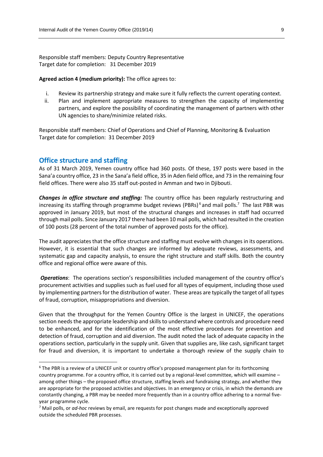Responsible staff members: Deputy Country Representative Target date for completion: 31 December 2019

#### **Agreed action 4 (medium priority):** The office agrees to:

- i. Review its partnership strategy and make sure it fully reflects the current operating context.
- ii. Plan and implement appropriate measures to strengthen the capacity of implementing partners, and explore the possibility of coordinating the management of partners with other UN agencies to share/minimize related risks.

Responsible staff members: Chief of Operations and Chief of Planning, Monitoring & Evaluation Target date for completion: 31 December 2019

# **Office structure and staffing**

1

As of 31 March 2019, Yemen country office had 360 posts. Of these, 197 posts were based in the Sana'a country office, 23 in the Sana'a field office, 35 in Aden field office, and 73 in the remaining four field offices. There were also 35 staff out-posted in Amman and two in Djibouti.

*Changes in office structure and staffing:* The country office has been regularly restructuring and increasing its staffing through programme budget reviews (PBRs)<sup>6</sup> and mail polls.<sup>7</sup> The last PBR was approved in January 2019, but most of the structural changes and increases in staff had occurred through mail polls. Since January 2017 there had been 10 mail polls, which had resulted in the creation of 100 posts (28 percent of the total number of approved posts for the office).

The audit appreciates that the office structure and staffing must evolve with changes in its operations. However, it is essential that such changes are informed by adequate reviews, assessments, and systematic gap and capacity analysis, to ensure the right structure and staff skills. Both the country office and regional office were aware of this.

**Operations**: The operations section's responsibilities included management of the country office's procurement activities and supplies such as fuel used for all types of equipment, including those used by implementing partners for the distribution of water. These areas are typically the target of all types of fraud, corruption, misappropriations and diversion.

Given that the throughput for the Yemen Country Office is the largest in UNICEF, the operations section needs the appropriate leadership and skills to understand where controls and procedure need to be enhanced, and for the identification of the most effective procedures for prevention and detection of fraud, corruption and aid diversion. The audit noted the lack of adequate capacity in the operations section, particularly in the supply unit. Given that supplies are, like cash, significant target for fraud and diversion, it is important to undertake a thorough review of the supply chain to

<sup>&</sup>lt;sup>6</sup> The PBR is a review of a UNICEF unit or country office's proposed management plan for its forthcoming country programme. For a country office, it is carried out by a regional-level committee, which will examine – among other things – the proposed office structure, staffing levels and fundraising strategy, and whether they are appropriate for the proposed activities and objectives. In an emergency or crisis, in which the demands are constantly changing, a PBR may be needed more frequently than in a country office adhering to a normal fiveyear programme cycle.

<sup>7</sup> Mail polls, or *ad-hoc* reviews by email, are requests for post changes made and exceptionally approved outside the scheduled PBR processes.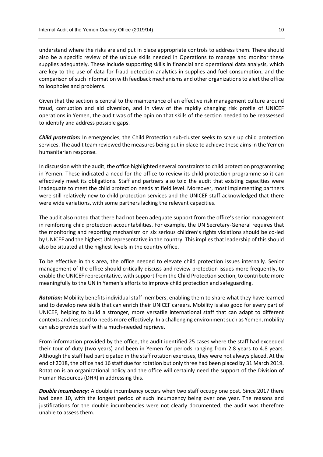understand where the risks are and put in place appropriate controls to address them. There should also be a specific review of the unique skills needed in Operations to manage and monitor these supplies adequately. These include supporting skills in financial and operational data analysis, which are key to the use of data for fraud detection analytics in supplies and fuel consumption, and the comparison of such information with feedback mechanisms and other organizations to alert the office to loopholes and problems.

Given that the section is central to the maintenance of an effective risk management culture around fraud, corruption and aid diversion, and in view of the rapidly changing risk profile of UNICEF operations in Yemen, the audit was of the opinion that skills of the section needed to be reassessed to identify and address possible gaps.

*Child protection:* In emergencies, the Child Protection sub-cluster seeks to scale up child protection services. The audit team reviewed the measures being put in place to achieve these aims in the Yemen humanitarian response.

In discussion with the audit, the office highlighted several constraints to child protection programming in Yemen. These indicated a need for the office to review its child protection programme so it can effectively meet its obligations. Staff and partners also told the audit that existing capacities were inadequate to meet the child protection needs at field level. Moreover, most implementing partners were still relatively new to child protection services and the UNICEF staff acknowledged that there were wide variations, with some partners lacking the relevant capacities.

The audit also noted that there had not been adequate support from the office's senior management in reinforcing child protection accountabilities. For example, the UN Secretary-General requires that the monitoring and reporting mechanism on six serious children's rights violations should be co-led by UNICEF and the highest UN representative in the country. This implies that leadership of this should also be situated at the highest levels in the country office.

To be effective in this area, the office needed to elevate child protection issues internally. Senior management of the office should critically discuss and review protection issues more frequently, to enable the UNICEF representative, with support from the Child Protection section, to contribute more meaningfully to the UN in Yemen's efforts to improve child protection and safeguarding.

*Rotation:* Mobility benefits individual staff members, enabling them to share what they have learned and to develop new skills that can enrich their UNICEF careers. Mobility is also good for every part of UNICEF, helping to build a stronger, more versatile international staff that can adapt to different contexts and respond to needs more effectively. In a challenging environment such as Yemen, mobility can also provide staff with a much-needed reprieve.

From information provided by the office, the audit identified 25 cases where the staff had exceeded their tour of duty (two years) and been in Yemen for periods ranging from 2.8 years to 4.8 years. Although the staff had participated in the staff rotation exercises, they were not always placed. At the end of 2018, the office had 16 staff due for rotation but only three had been placed by 31 March 2019. Rotation is an organizational policy and the office will certainly need the support of the Division of Human Resources (DHR) in addressing this.

*Double incumbency:* A double incumbency occurs when two staff occupy one post. Since 2017 there had been 10, with the longest period of such incumbency being over one year. The reasons and justifications for the double incumbencies were not clearly documented; the audit was therefore unable to assess them.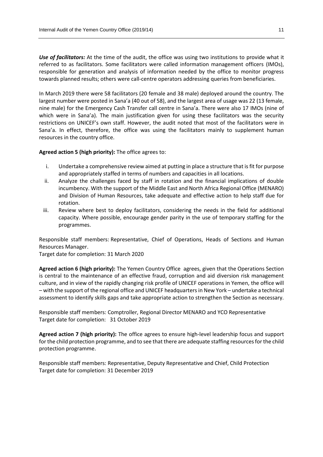*Use of facilitators:* At the time of the audit, the office was using two institutions to provide what it referred to as facilitators. Some facilitators were called information management officers (IMOs), responsible for generation and analysis of information needed by the office to monitor progress towards planned results; others were call-centre operators addressing queries from beneficiaries.

In March 2019 there were 58 facilitators (20 female and 38 male) deployed around the country. The largest number were posted in Sana'a (40 out of 58), and the largest area of usage was 22 (13 female, nine male) for the Emergency Cash Transfer call centre in Sana'a. There were also 17 IMOs (nine of which were in Sana'a). The main justification given for using these facilitators was the security restrictions on UNICEF's own staff. However, the audit noted that most of the facilitators were in Sana'a. In effect, therefore, the office was using the facilitators mainly to supplement human resources in the country office.

**Agreed action 5 (high priority):** The office agrees to:

- i. Undertake a comprehensive review aimed at putting in place a structure that is fit for purpose and appropriately staffed in terms of numbers and capacities in all locations.
- ii. Analyze the challenges faced by staff in rotation and the financial implications of double incumbency. With the support of the Middle East and North Africa Regional Office (MENARO) and Division of Human Resources, take adequate and effective action to help staff due for rotation.
- iii. Review where best to deploy facilitators, considering the needs in the field for additional capacity. Where possible, encourage gender parity in the use of temporary staffing for the programmes.

Responsible staff members: Representative, Chief of Operations, Heads of Sections and Human Resources Manager.

Target date for completion: 31 March 2020

**Agreed action 6 (high priority):** The Yemen Country Office agrees, given that the Operations Section is central to the maintenance of an effective fraud, corruption and aid diversion risk management culture, and in view of the rapidly changing risk profile of UNICEF operations in Yemen, the office will – with the support of the regional office and UNICEF headquarters in New York – undertake a technical assessment to identify skills gaps and take appropriate action to strengthen the Section as necessary.

Responsible staff members: Comptroller, Regional Director MENARO and YCO Representative Target date for completion: 31 October 2019

**Agreed action 7 (high priority):** The office agrees to ensure high-level leadership focus and support for the child protection programme, and to see that there are adequate staffing resources for the child protection programme.

Responsible staff members: Representative, Deputy Representative and Chief, Child Protection Target date for completion: 31 December 2019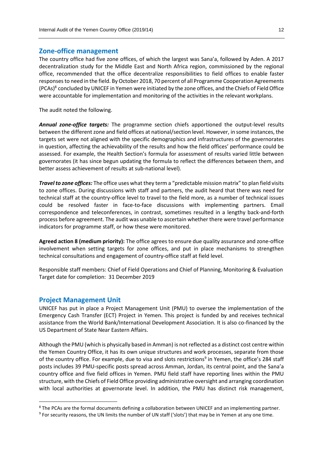# **Zone-office management**

The country office had five zone offices, of which the largest was Sana'a, followed by Aden. A 2017 decentralization study for the Middle East and North Africa region, commissioned by the regional office, recommended that the office decentralize responsibilities to field offices to enable faster responses to need in the field. By October 2018, 70 percent of all Programme Cooperation Agreements (PCAs)<sup>8</sup> concluded by UNICEF in Yemen were initiated by the zone offices, and the Chiefs of Field Office were accountable for implementation and monitoring of the activities in the relevant workplans.

The audit noted the following.

*Annual zone-office targets:* The programme section chiefs apportioned the output-level results between the different zone and field offices at national/section level. However, in some instances, the targets set were not aligned with the specific demographics and infrastructures of the governorates in question, affecting the achievability of the results and how the field offices' performance could be assessed. For example, the Health Section's formula for assessment of results varied little between governorates (it has since begun updating the formula to reflect the differences between them, and better assess achievement of results at sub-national level).

*Travel to zone offices:* The office uses what they term a "predictable mission matrix" to plan field visits to zone offices. During discussions with staff and partners, the audit heard that there was need for technical staff at the country-office level to travel to the field more, as a number of technical issues could be resolved faster in face-to-face discussions with implementing partners. Email correspondence and teleconferences, in contrast, sometimes resulted in a lengthy back-and-forth process before agreement. The audit was unable to ascertain whether there were travel performance indicators for programme staff, or how these were monitored.

**Agreed action 8 (medium priority):** The office agrees to ensure due quality assurance and zone-office involvement when setting targets for zone offices, and put in place mechanisms to strengthen technical consultations and engagement of country-office staff at field level.

Responsible staff members: Chief of Field Operations and Chief of Planning, Monitoring & Evaluation Target date for completion: 31 December 2019

# **Project Management Unit**

1

UNICEF has put in place a Project Management Unit (PMU) to oversee the implementation of the Emergency Cash Transfer (ECT) Project in Yemen. This project is funded by and receives technical assistance from the World Bank/International Development Association. It is also co-financed by the US Department of State Near Eastern Affairs.

Although the PMU (which is physically based in Amman) is not reflected as a distinct cost centre within the Yemen Country Office, it has its own unique structures and work processes, separate from those of the country office. For example, due to visa and slots restrictions<sup>9</sup> in Yemen, the office's 284 staff posts includes 39 PMU-specific posts spread across Amman, Jordan, its central point, and the Sana'a country office and five field offices in Yemen. PMU field staff have reporting lines within the PMU structure, with the Chiefs of Field Office providing administrative oversight and arranging coordination with local authorities at governorate level. In addition, the PMU has distinct risk management,

<sup>8</sup> The PCAs are the formal documents defining a collaboration between UNICEF and an implementing partner.

<sup>&</sup>lt;sup>9</sup> For security reasons, the UN limits the number of UN staff ('slots') that may be in Yemen at any one time.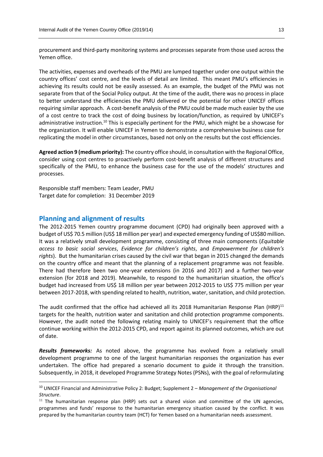procurement and third-party monitoring systems and processes separate from those used across the Yemen office.

The activities, expenses and overheads of the PMU are lumped together under one output within the country offices' cost centre, and the levels of detail are limited. This meant PMU's efficiencies in achieving its results could not be easily assessed. As an example, the budget of the PMU was not separate from that of the Social Policy output. At the time of the audit, there was no process in place to better understand the efficiencies the PMU delivered or the potential for other UNICEF offices requiring similar approach. A cost-benefit analysis of the PMU could be made much easier by the use of a cost centre to track the cost of doing business by location/function, as required by UNICEF's administrative instruction.<sup>10</sup> This is especially pertinent for the PMU, which might be a showcase for the organization. It will enable UNICEF in Yemen to demonstrate a comprehensive business case for replicating the model in other circumstances, based not only on the results but the cost efficiencies.

**Agreed action 9 (medium priority):** The country office should, in consultation with the Regional Office, consider using cost centres to proactively perform cost-benefit analysis of different structures and specifically of the PMU, to enhance the business case for the use of the models' structures and processes.

Responsible staff members: Team Leader, PMU Target date for completion: 31 December 2019

# **Planning and alignment of results**

**.** 

The 2012-2015 Yemen country programme document (CPD) had originally been approved with a budget of US\$ 70.5 million (US\$ 18 million per year) and expected emergency funding of US\$80 million. It was a relatively small development programme, consisting of three main components (*Equitable access to basic social services*, *Evidence for children's rights*, and *Empowerment for children's rights*). But the humanitarian crises caused by the civil war that began in 2015 changed the demands on the country office and meant that the planning of a replacement programme was not feasible. There had therefore been two one-year extensions (in 2016 and 2017) and a further two-year extension (for 2018 and 2019). Meanwhile, to respond to the humanitarian situation, the office's budget had increased from US\$ 18 million per year between 2012-2015 to US\$ 775 million per year between 2017-2018, with spending related to health, nutrition, water, sanitation, and child protection.

The audit confirmed that the office had achieved all its 2018 Humanitarian Response Plan (HRP) $^{11}$ targets for the health, nutrition water and sanitation and child protection programme components. However, the audit noted the following relating mainly to UNICEF's requirement that the office continue working within the 2012-2015 CPD, and report against its planned outcomes, which are out of date.

*Results frameworks:* As noted above, the programme has evolved from a relatively small development programme to one of the largest humanitarian responses the organization has ever undertaken. The office had prepared a scenario document to guide it through the transition. Subsequently, in 2018, it developed Programme Strategy Notes (PSNs), with the goal of reformulating

<sup>10</sup> UNICEF Financial and Administrative Policy 2: Budget; Supplement 2 – *Management of the Organisational Structure*.

 $<sup>11</sup>$  The humanitarian response plan (HRP) sets out a shared vision and committee of the UN agencies,</sup> programmes and funds' response to the humanitarian emergency situation caused by the conflict. It was prepared by the humanitarian country team (HCT) for Yemen based on a [humanitarian needs](https://www.humanitarianresponse.info/programme-cycle/space/page/assessments-overview) assessment.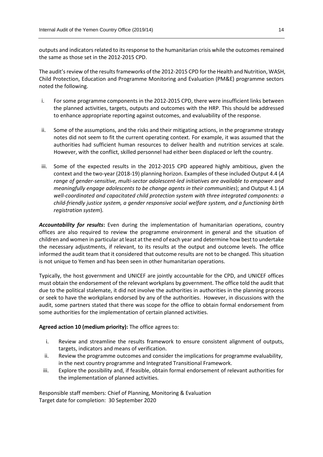outputs and indicators related to its response to the humanitarian crisis while the outcomes remained the same as those set in the 2012-2015 CPD.

The audit's review of the results frameworks of the 2012-2015 CPD for the Health and Nutrition, WASH, Child Protection, Education and Programme Monitoring and Evaluation (PM&E) programme sectors noted the following.

- i. For some programme components in the 2012-2015 CPD, there were insufficient links between the planned activities, targets, outputs and outcomes with the HRP. This should be addressed to enhance appropriate reporting against outcomes, and evaluability of the response.
- ii. Some of the assumptions, and the risks and their mitigating actions, in the programme strategy notes did not seem to fit the current operating context. For example, it was assumed that the authorities had sufficient human resources to deliver health and nutrition services at scale*.*  However, with the conflict, skilled personnel had either been displaced or left the country.
- iii. Some of the expected results in the 2012-2015 CPD appeared highly ambitious, given the context and the two-year (2018-19) planning horizon. Examples of these included Output 4.4 (*A range of gender-sensitive, multi-sector adolescent-led initiatives are available to empower and meaningfully engage adolescents to be change agents in their communities*); and Output 4.1 (*A well-coordinated and capacitated child protection system with three integrated components: a child-friendly justice system, a gender responsive social welfare system, and a functioning birth registration system*)*.*

*Accountability for results***:** Even during the implementation of humanitarian operations, country offices are also required to review the programme environment in general and the situation of children and women in particular at least at the end of each year and determine how best to undertake the necessary adjustments, if relevant, to its results at the output and outcome levels. The office informed the audit team that it considered that outcome results are not to be changed. This situation is not unique to Yemen and has been seen in other humanitarian operations.

Typically, the host government and UNICEF are jointly accountable for the CPD, and UNICEF offices must obtain the endorsement of the relevant workplans by government. The office told the audit that due to the political stalemate, it did not involve the authorities in authorities in the planning process or seek to have the workplans endorsed by any of the authorities. However, in discussions with the audit, some partners stated that there was scope for the office to obtain formal endorsement from some authorities for the implementation of certain planned activities.

### **Agreed action 10 (medium priority):** The office agrees to:

- i. Review and streamline the results framework to ensure consistent alignment of outputs, targets, indicators and means of verification.
- ii. Review the programme outcomes and consider the implications for programme evaluability, in the next country programme and Integrated Transitional Framework.
- iii. Explore the possibility and, if feasible, obtain formal endorsement of relevant authorities for the implementation of planned activities.

Responsible staff members: Chief of Planning, Monitoring & Evaluation Target date for completion: 30 September 2020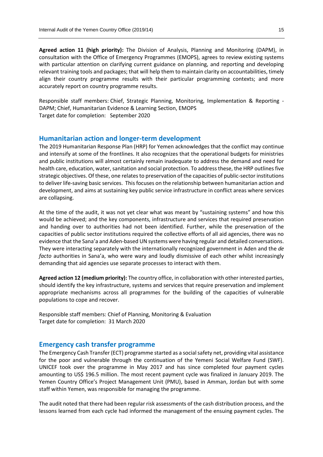**Agreed action 11 (high priority):** The Division of Analysis, Planning and Monitoring (DAPM), in consultation with the Office of Emergency Programmes (EMOPS), agrees to review existing systems with particular attention on clarifying current guidance on planning, and reporting and developing relevant training tools and packages; that will help them to maintain clarity on accountabilities, timely align their country programme results with their particular programming contexts; and more accurately report on country programme results.

Responsible staff members: Chief, Strategic Planning, Monitoring, Implementation & Reporting - DAPM; Chief, Humanitarian Evidence & Learning Section, EMOPS Target date for completion: September 2020

# **Humanitarian action and longer-term development**

The 2019 Humanitarian Response Plan (HRP) for Yemen acknowledges that the conflict may continue and intensify at some of the frontlines. It also recognizes that the operational budgets for ministries and public institutions will almost certainly remain inadequate to address the demand and need for health care, education, water, sanitation and social protection. To address these, the HRP outlines five strategic objectives. Of these, one relates to preservation of the capacities of public-sector institutions to deliver life-saving basic services. This focuses on the relationship between humanitarian action and development, and aims at sustaining key public service infrastructure in conflict areas where services are collapsing.

At the time of the audit, it was not yet clear what was meant by "sustaining systems" and how this would be achieved; and the key components, infrastructure and services that required preservation and handing over to authorities had not been identified. Further, while the preservation of the capacities of public sector institutions required the collective efforts of all aid agencies, there was no evidence that the Sana'a and Aden-based UN systems were having regular and detailed conversations. They were interacting separately with the internationally recognized government in Aden and the *de facto* authorities in Sana'a, who were wary and loudly dismissive of each other whilst increasingly demanding that aid agencies use separate processes to interact with them.

**Agreed action 12 (medium priority):** The country office, in collaboration with other interested parties, should identify the key infrastructure, systems and services that require preservation and implement appropriate mechanisms across all programmes for the building of the capacities of vulnerable populations to cope and recover.

Responsible staff members: Chief of Planning, Monitoring & Evaluation Target date for completion: 31 March 2020

# **Emergency cash transfer programme**

The Emergency Cash Transfer (ECT) programme started as a social safety net, providing vital assistance for the poor and vulnerable through the continuation of the Yemeni Social Welfare Fund (SWF). UNICEF took over the programme in May 2017 and has since completed four payment cycles amounting to US\$ 196.5 million. The most recent payment cycle was finalized in January 2019. The Yemen Country Office's Project Management Unit (PMU), based in Amman, Jordan but with some staff within Yemen, was responsible for managing the programme.

The audit noted that there had been regular risk assessments of the cash distribution process, and the lessons learned from each cycle had informed the management of the ensuing payment cycles. The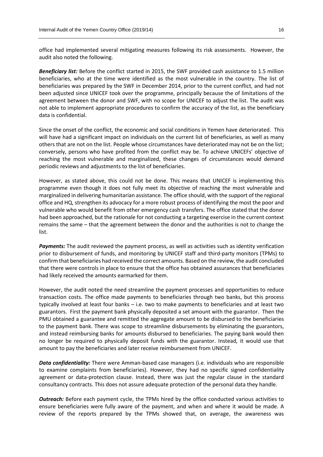office had implemented several mitigating measures following its risk assessments. However, the audit also noted the following.

*Beneficiary list:* Before the conflict started in 2015, the SWF provided cash assistance to 1.5 million beneficiaries, who at the time were identified as the most vulnerable in the country. The list of beneficiaries was prepared by the SWF in December 2014, prior to the current conflict, and had not been adjusted since UNICEF took over the programme, principally because the of limitations of the agreement between the donor and SWF, with no scope for UNICEF to adjust the list. The audit was not able to implement appropriate procedures to confirm the accuracy of the list, as the beneficiary data is confidential.

Since the onset of the conflict, the economic and social conditions in Yemen have deteriorated. This will have had a significant impact on individuals on the current list of beneficiaries, as well as many others that are not on the list. People whose circumstances have deteriorated may not be on the list; conversely, persons who have profited from the conflict may be. To achieve UNICEFs' objective of reaching the most vulnerable and marginalized, these changes of circumstances would demand periodic reviews and adjustments to the list of beneficiaries.

However, as stated above, this could not be done. This means that UNICEF is implementing this programme even though it does not fully meet its objective of reaching the most vulnerable and marginalized in delivering humanitarian assistance. The office should, with the support of the regional office and HQ, strengthen its advocacy for a more robust process of identifying the most the poor and vulnerable who would benefit from other emergency cash transfers. The office stated that the donor had been approached, but the rationale for not conducting a targeting exercise in the current context remains the same – that the agreement between the donor and the authorities is not to change the list.

*Payments:* The audit reviewed the payment process, as well as activities such as identity verification prior to disbursement of funds, and monitoring by UNICEF staff and third-party monitors (TPMs) to confirm that beneficiaries had received the correct amounts. Based on the review, the audit concluded that there were controls in place to ensure that the office has obtained assurances that beneficiaries had likely received the amounts earmarked for them.

However, the audit noted the need streamline the payment processes and opportunities to reduce transaction costs. The office made payments to beneficiaries through two banks, but this process typically involved at least four banks – i.e. two to make payments to beneficiaries and at least two guarantors. First the payment bank physically deposited a set amount with the guarantor. Then the PMU obtained a guarantee and remitted the aggregate amount to be disbursed to the beneficiaries to the payment bank. There was scope to streamline disbursements by eliminating the guarantors, and instead reimbursing banks for amounts disbursed to beneficiaries. The paying bank would then no longer be required to physically deposit funds with the guarantor. Instead, it would use that amount to pay the beneficiaries and later receive reimbursement from UNICEF.

*Data confidentiality:* There were Amman-based case managers (i.e. individuals who are responsible to examine complaints from beneficiaries). However, they had no specific signed confidentiality agreement or data-protection clause. Instead, there was just the regular clause in the standard consultancy contracts. This does not assure adequate protection of the personal data they handle.

*Outreach:* Before each payment cycle, the TPMs hired by the office conducted various activities to ensure beneficiaries were fully aware of the payment, and when and where it would be made. A review of the reports prepared by the TPMs showed that, on average, the awareness was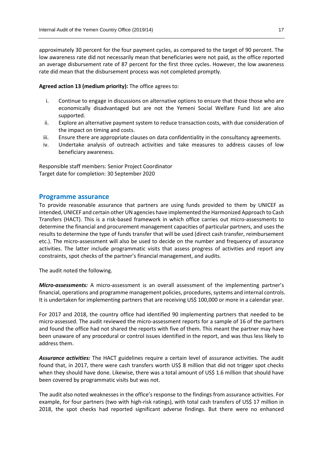approximately 30 percent for the four payment cycles, as compared to the target of 90 percent. The low awareness rate did not necessarily mean that beneficiaries were not paid, as the office reported an average disbursement rate of 87 percent for the first three cycles. However, the low awareness rate did mean that the disbursement process was not completed promptly.

# **Agreed action 13 (medium priority):** The office agrees to:

- i. Continue to engage in discussions on alternative options to ensure that those those who are economically disadvantaged but are not the Yemeni Social Welfare Fund list are also supported.
- ii. Explore an alternative payment system to reduce transaction costs, with due consideration of the impact on timing and costs.
- iii. Ensure there are appropriate clauses on data confidentiality in the consultancy agreements.
- iv. Undertake analysis of outreach activities and take measures to address causes of low beneficiary awareness.

Responsible staff members: Senior Project Coordinator Target date for completion: 30 September 2020

# **Programme assurance**

To provide reasonable assurance that partners are using funds provided to them by UNICEF as intended, UNICEF and certain other UN agencies have implemented the Harmonized Approach to Cash Transfers (HACT). This is a risk-based framework in which office carries out micro-assessments to determine the financial and procurement management capacities of particular partners, and uses the results to determine the type of funds transfer that will be used (direct cash transfer, reimbursement etc.). The micro-assessment will also be used to decide on the number and frequency of assurance activities. The latter include programmatic visits that assess progress of activities and report any constraints, spot checks of the partner's financial management, and audits.

The audit noted the following.

*Micro-assessments:* A micro-assessment is an overall assessment of the implementing partner's financial, operations and programme management policies, procedures, systems and internal controls. It is undertaken for implementing partners that are receiving US\$ 100,000 or more in a calendar year.

For 2017 and 2018, the country office had identified 90 implementing partners that needed to be micro-assessed. The audit reviewed the micro-assessment reports for a sample of 16 of the partners and found the office had not shared the reports with five of them. This meant the partner may have been unaware of any procedural or control issues identified in the report, and was thus less likely to address them.

*Assurance activities:* The HACT guidelines require a certain level of assurance activities. The audit found that, in 2017, there were cash transfers worth US\$ 8 million that did not trigger spot checks when they should have done. Likewise, there was a total amount of US\$ 1.6 million that should have been covered by programmatic visits but was not.

The audit also noted weaknesses in the office's response to the findings from assurance activities. For example, for four partners (two with high-risk ratings), with total cash transfers of US\$ 17 million in 2018, the spot checks had reported significant adverse findings. But there were no enhanced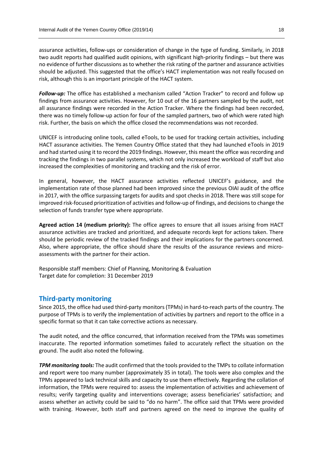assurance activities, follow-ups or consideration of change in the type of funding. Similarly, in 2018 two audit reports had qualified audit opinions, with significant high-priority findings – but there was no evidence of further discussions as to whether the risk rating of the partner and assurance activities should be adjusted. This suggested that the office's HACT implementation was not really focused on risk, although this is an important principle of the HACT system.

*Follow-up:* The office has established a mechanism called "Action Tracker" to record and follow up findings from assurance activities. However, for 10 out of the 16 partners sampled by the audit, not all assurance findings were recorded in the Action Tracker. Where the findings had been recorded, there was no timely follow-up action for four of the sampled partners, two of which were rated high risk. Further, the basis on which the office closed the recommendations was not recorded.

UNICEF is introducing online tools, called eTools, to be used for tracking certain activities, including HACT assurance activities. The Yemen Country Office stated that they had launched eTools in 2019 and had started using it to record the 2019 findings. However, this meant the office wasrecording and tracking the findings in two parallel systems, which not only increased the workload of staff but also increased the complexities of monitoring and tracking and the risk of error.

In general, however, the HACT assurance activities reflected UNICEF's guidance, and the implementation rate of those planned had been improved since the previous OIAI audit of the office in 2017, with the office surpassing targets for audits and spot checks in 2018. There was still scope for improved risk-focused prioritization of activities and follow-up of findings, and decisions to change the selection of funds transfer type where appropriate.

**Agreed action 14 (medium priority):** The office agrees to ensure that all issues arising from HACT assurance activities are tracked and prioritized, and adequate records kept for actions taken. There should be periodic review of the tracked findings and their implications for the partners concerned. Also, where appropriate, the office should share the results of the assurance reviews and microassessments with the partner for their action.

Responsible staff members: Chief of Planning, Monitoring & Evaluation Target date for completion: 31 December 2019

# **Third-party monitoring**

Since 2015, the office had used third-party monitors (TPMs) in hard-to-reach parts of the country. The purpose of TPMs is to verify the implementation of activities by partners and report to the office in a specific format so that it can take corrective actions as necessary.

The audit noted, and the office concurred, that information received from the TPMs was sometimes inaccurate. The reported information sometimes failed to accurately reflect the situation on the ground. The audit also noted the following.

*TPM monitoring tools:* The audit confirmed that the tools provided to the TMPs to collate information and report were too many number (approximately 35 in total). The tools were also complex and the TPMs appeared to lack technical skills and capacity to use them effectively. Regarding the collation of information, the TPMs were required to: assess the implementation of activities and achievement of results; verify targeting quality and interventions coverage; assess beneficiaries' satisfaction; and assess whether an activity could be said to "do no harm". The office said that TPMs were provided with training. However, both staff and partners agreed on the need to improve the quality of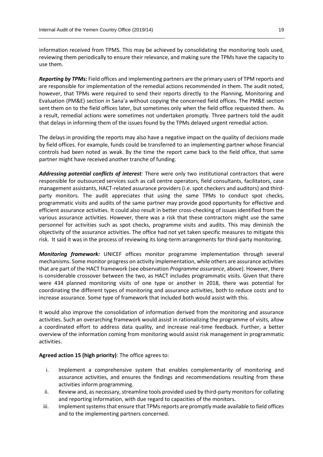information received from TPMS. This may be achieved by consolidating the monitoring tools used, reviewing them periodically to ensure their relevance, and making sure the TPMs have the capacity to use them.

*Reporting by TPMs:* Field offices and implementing partners are the primary users of TPM reports and are responsible for implementation of the remedial actions recommended in them. The audit noted, however, that TPMs were required to send their reports directly to the Planning, Monitoring and Evaluation (PM&E) section in Sana'a without copying the concerned field offices. The PM&E section sent them on to the field offices later, but sometimes only when the field office requested them. As a result, remedial actions were sometimes not undertaken promptly. Three partners told the audit that delays in informing them of the issues found by the TPMs delayed urgent remedial action.

The delays in providing the reports may also have a negative impact on the quality of decisions made by field offices. For example, funds could be transferred to an implementing partner whose financial controls had been noted as weak. By the time the report came back to the field office, that same partner might have received another tranche of funding.

*Addressing potential conflicts of interest:* There were only two institutional contractors that were responsible for outsourced services such as call centre operators, field consultants, facilitators, case management assistants, HACT-related assurance providers (i.e. spot checkers and auditors) and thirdparty monitors. The audit appreciates that using the same TPMs to conduct spot checks, programmatic visits and audits of the same partner may provide good opportunity for effective and efficient assurance activities. It could also result in better cross-checking of issues identified from the various assurance activities. However, there was a risk that these contractors might use the same personnel for activities such as spot checks, programme visits and audits. This may diminish the objectivity of the assurance activities. The office had not yet taken specific measures to mitigate this risk. It said it was in the process of reviewing its long-term arrangements for third-party monitoring.

*Monitoring framework:* UNICEF offices monitor programme implementation through several mechanisms. Some monitor progress on activity implementation, while others are assurance activities that are part of the HACT framework (see observation *Programme assurance*, above). However, there is considerable crossover between the two, as HACT includes programmatic visits. Given that there were 434 planned monitoring visits of one type or another in 2018, there was potential for coordinating the different types of monitoring and assurance activities, both to reduce costs and to increase assurance. Some type of framework that included both would assist with this.

It would also improve the consolidation of information derived from the monitoring and assurance activities. Such an overarching framework would assist in rationalizing the programme of visits, allow a coordinated effort to address data quality, and increase real-time feedback. Further, a better overview of the information coming from monitoring would assist risk management in programmatic activities.

**Agreed action 15 (high priority)**: The office agrees to:

- i. Implement a comprehensive system that enables complementarity of monitoring and assurance activities, and ensures the findings and recommendations resulting from these activities inform programming.
- ii. Review and, as necessary, streamline tools provided used by third-party monitors for collating and reporting information, with due regard to capacities of the monitors.
- iii. Implement systems that ensure that TPMs reports are promptly made available to field offices and to the implementing partners concerned.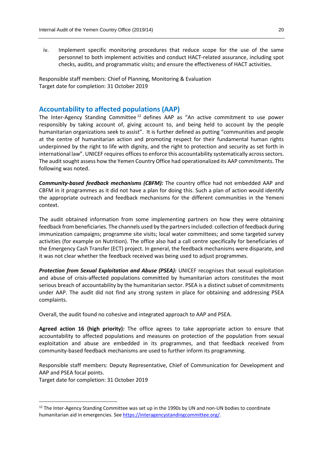iv. Implement specific monitoring procedures that reduce scope for the use of the same personnel to both implement activities and conduct HACT-related assurance, including spot checks, audits, and programmatic visits; and ensure the effectiveness of HACT activities.

Responsible staff members: Chief of Planning, Monitoring & Evaluation Target date for completion: 31 October 2019

# **Accountability to affected populations (AAP)**

The Inter-Agency Standing Committee<sup>12</sup> defines AAP as "An active commitment to use power responsibly by taking account of, giving account to, and being held to account by the people humanitarian organizations seek to assist". It is further defined as putting "communities and people at the centre of humanitarian action and promoting respect for their fundamental human rights underpinned by the right to life with dignity, and the right to protection and security as set forth in international law". UNICEF requires officesto enforce this accountability systematically across sectors. The audit sought assess how the Yemen Country Office had operationalized its AAP commitments. The following was noted.

*Community-based feedback mechanisms (CBFM):* The country office had not embedded AAP and CBFM in it programmes as it did not have a plan for doing this. Such a plan of action would identify the appropriate outreach and feedback mechanisms for the different communities in the Yemeni context.

The audit obtained information from some implementing partners on how they were obtaining feedback from beneficiaries. The channels used by the partners included: collection of feedback during immunization campaigns; programme site visits; local water committees; and some targeted survey activities (for example on Nutrition). The office also had a call centre specifically for beneficiaries of the Emergency Cash Transfer (ECT) project. In general, the feedback mechanisms were disparate, and it was not clear whether the feedback received was being used to adjust programmes.

*Protection from Sexual Exploitation and Abuse (PSEA):* UNICEF recognises that sexual exploitation and abuse of crisis-affected populations committed by humanitarian actors constitutes the most serious breach of accountability by the humanitarian sector. PSEA is a distinct subset of commitments under AAP. The audit did not find any strong system in place for obtaining and addressing PSEA complaints.

Overall, the audit found no cohesive and integrated approach to AAP and PSEA.

**Agreed action 16 (high priority):** The office agrees to take appropriate action to ensure that accountability to affected populations and measures on protection of the population from sexual exploitation and abuse are embedded in its programmes, and that feedback received from community-based feedback mechanisms are used to further inform its programming.

Responsible staff members: Deputy Representative, Chief of Communication for Development and AAP and PSEA focal points.

Target date for completion: 31 October 2019

1

<sup>&</sup>lt;sup>12</sup> The Inter-Agency Standing Committee was set up in the 1990s by UN and non-UN bodies to coordinate humanitarian aid in emergencies. See [https://interagencystandingcommittee.org/.](https://interagencystandingcommittee.org/)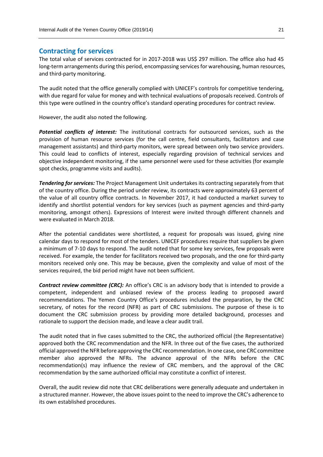# **Contracting for services**

The total value of services contracted for in 2017-2018 was US\$ 297 million. The office also had 45 long-term arrangements during this period, encompassing services for warehousing, human resources, and third-party monitoring.

The audit noted that the office generally complied with UNICEF's controls for competitive tendering, with due regard for value for money and with technical evaluations of proposals received. Controls of this type were outlined in the country office's standard operating procedures for contract review.

However, the audit also noted the following.

*Potential conflicts of interest:* The institutional contracts for outsourced services, such as the provision of human resource services (for the call centre, field consultants, facilitators and case management assistants) and third-party monitors, were spread between only two service providers. This could lead to conflicts of interest, especially regarding provision of technical services and objective independent monitoring, if the same personnel were used for these activities (for example spot checks, programme visits and audits).

*Tendering for services:* The Project Management Unit undertakes its contracting separately from that of the country office. During the period under review, its contracts were approximately 63 percent of the value of all country office contracts. In November 2017, it had conducted a market survey to identify and shortlist potential vendors for key services (such as payment agencies and third-party monitoring, amongst others). Expressions of Interest were invited through different channels and were evaluated in March 2018.

After the potential candidates were shortlisted, a request for proposals was issued, giving nine calendar days to respond for most of the tenders. UNICEF procedures require that suppliers be given a minimum of 7-10 days to respond. The audit noted that for some key services, few proposals were received. For example, the tender for facilitators received two proposals, and the one for third-party monitors received only one. This may be because, given the complexity and value of most of the services required, the bid period might have not been sufficient.

*Contract review committee (CRC):* An office's CRC is an advisory body that is intended to provide a competent, independent and unbiased review of the process leading to proposed award recommendations. The Yemen Country Office's procedures included the preparation, by the CRC secretary, of notes for the record (NFR) as part of CRC submissions. The purpose of these is to document the CRC submission process by providing more detailed background, processes and rationale to support the decision made, and leave a clear audit trail.

The audit noted that in five cases submitted to the CRC, the authorized official (the Representative) approved both the CRC recommendation and the NFR. In three out of the five cases, the authorized official approved the NFR before approving the CRC recommendation. In one case, one CRC committee member also approved the NFRs. The advance approval of the NFRs before the CRC recommendation(s) may influence the review of CRC members, and the approval of the CRC recommendation by the same authorized official may constitute a conflict of interest.

Overall, the audit review did note that CRC deliberations were generally adequate and undertaken in a structured manner. However, the above issues point to the need to improve the CRC's adherence to its own established procedures.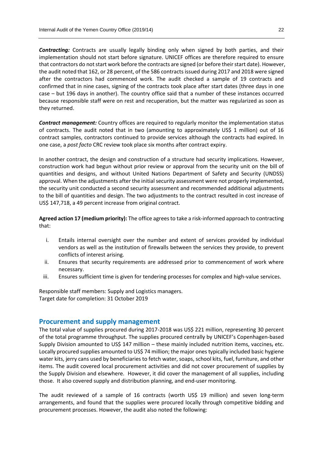*Contracting:* Contracts are usually legally binding only when signed by both parties, and their implementation should not start before signature. UNICEF offices are therefore required to ensure that contractors do not start work before the contracts are signed (or before their start date). However, the audit noted that 162, or 28 percent, of the 586 contracts issued during 2017 and 2018 were signed after the contractors had commenced work. The audit checked a sample of 19 contracts and confirmed that in nine cases, signing of the contracts took place after start dates (three days in one case – but 196 days in another). The country office said that a number of these instances occurred because responsible staff were on rest and recuperation, but the matter was regularized as soon as they returned.

*Contract management:* Country offices are required to regularly monitor the implementation status of contracts. The audit noted that in two (amounting to approximately US\$ 1 million) out of 16 contract samples, contractors continued to provide services although the contracts had expired. In one case, a *post facto* CRC review took place six months after contract expiry.

In another contract, the design and construction of a structure had security implications. However, construction work had begun without prior review or approval from the security unit on the bill of quantities and designs, and without United Nations Department of Safety and Security (UNDSS) approval. When the adjustments after the initial security assessment were not properly implemented, the security unit conducted a second security assessment and recommended additional adjustments to the bill of quantities and design. The two adjustments to the contract resulted in cost increase of US\$ 147,718, a 49 percent increase from original contract.

**Agreed action 17 (medium priority):** The office agrees to take a risk-informed approach to contracting that:

- i. Entails internal oversight over the number and extent of services provided by individual vendors as well as the institution of firewalls between the services they provide, to prevent conflicts of interest arising.
- ii. Ensures that security requirements are addressed prior to commencement of work where necessary.
- iii. Ensures sufficient time is given for tendering processes for complex and high-value services.

Responsible staff members: Supply and Logistics managers. Target date for completion: 31 October 2019

# **Procurement and supply management**

The total value of supplies procured during 2017-2018 was US\$ 221 million, representing 30 percent of the total programme throughput. The supplies procured centrally by UNICEF's Copenhagen-based Supply Division amounted to US\$ 147 million – these mainly included nutrition items, vaccines, etc. Locally procured supplies amounted to US\$ 74 million; the major ones typically included basic hygiene water kits, jerry cans used by beneficiaries to fetch water, soaps, school kits, fuel, furniture, and other items. The audit covered local procurement activities and did not cover procurement of supplies by the Supply Division and elsewhere. However, it did cover the management of all supplies, including those. It also covered supply and distribution planning, and end-user monitoring.

The audit reviewed of a sample of 16 contracts (worth US\$ 19 million) and seven long-term arrangements, and found that the supplies were procured locally through competitive bidding and procurement processes. However, the audit also noted the following: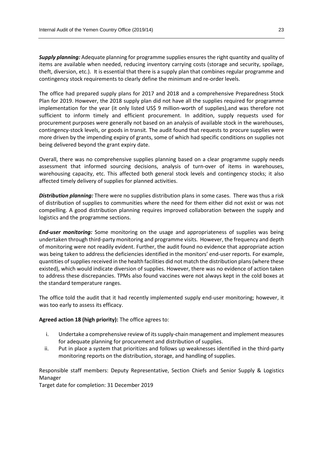*Supply planning:* Adequate planning for programme supplies ensures the right quantity and quality of items are available when needed, reducing inventory carrying costs (storage and security, spoilage, theft, diversion, etc.). It is essential that there is a supply plan that combines regular programme and contingency stock requirements to clearly define the minimum and re-order levels.

The office had prepared supply plans for 2017 and 2018 and a comprehensive Preparedness Stock Plan for 2019. However, the 2018 supply plan did not have all the supplies required for programme implementation for the year (it only listed US\$ 9 million-worth of supplies),and was therefore not sufficient to inform timely and efficient procurement. In addition, supply requests used for procurement purposes were generally not based on an analysis of available stock in the warehouses, contingency-stock levels, or goods in transit. The audit found that requests to procure supplies were more driven by the impending expiry of grants, some of which had specific conditions on supplies not being delivered beyond the grant expiry date.

Overall, there was no comprehensive supplies planning based on a clear programme supply needs assessment that informed sourcing decisions, analysis of turn-over of items in warehouses, warehousing capacity, etc. This affected both general stock levels and contingency stocks; it also affected timely delivery of supplies for planned activities.

*Distribution planning:* There were no supplies distribution plans in some cases. There was thus a risk of distribution of supplies to communities where the need for them either did not exist or was not compelling. A good distribution planning requires improved collaboration between the supply and logistics and the programme sections.

*End-user monitoring:* Some monitoring on the usage and appropriateness of supplies was being undertaken through third-party monitoring and programme visits. However, the frequency and depth of monitoring were not readily evident. Further, the audit found no evidence that appropriate action was being taken to address the deficiencies identified in the monitors' end-user reports. For example, quantities of supplies received in the health facilities did not match the distribution plans (where these existed), which would indicate diversion of supplies. However, there was no evidence of action taken to address these discrepancies. TPMs also found vaccines were not always kept in the cold boxes at the standard temperature ranges.

The office told the audit that it had recently implemented supply end-user monitoring; however, it was too early to assess its efficacy.

### **Agreed action 18 (high priority):** The office agrees to:

- i. Undertake a comprehensive review of its supply-chain management and implement measures for adequate planning for procurement and distribution of supplies.
- ii. Put in place a system that prioritizes and follows up weaknesses identified in the third-party monitoring reports on the distribution, storage, and handling of supplies.

Responsible staff members: Deputy Representative, Section Chiefs and Senior Supply & Logistics Manager

Target date for completion: 31 December 2019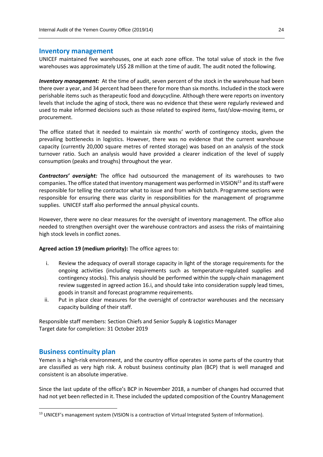#### **Inventory management**

UNICEF maintained five warehouses, one at each zone office. The total value of stock in the five warehouses was approximately US\$ 28 million at the time of audit. The audit noted the following.

*Inventory management:* At the time of audit, seven percent of the stock in the warehouse had been there over a year, and 34 percent had been there for more than six months. Included in the stock were perishable items such as therapeutic food and doxycycline. Although there were reports on inventory levels that include the aging of stock, there was no evidence that these were regularly reviewed and used to make informed decisions such as those related to expired items, fast/slow-moving items, or procurement.

The office stated that it needed to maintain six months' worth of contingency stocks, given the prevailing bottlenecks in logistics. However, there was no evidence that the current warehouse capacity (currently 20,000 square metres of rented storage) was based on an analysis of the stock turnover ratio. Such an analysis would have provided a clearer indication of the level of supply consumption (peaks and troughs) throughout the year.

*Contractors' oversight:* The office had outsourced the management of its warehouses to two companies. The office stated that inventory management was performed in VISION<sup>13</sup> and its staff were responsible for telling the contractor what to issue and from which batch. Programme sections were responsible for ensuring there was clarity in responsibilities for the management of programme supplies. UNICEF staff also performed the annual physical counts.

However, there were no clear measures for the oversight of inventory management. The office also needed to strengthen oversight over the warehouse contractors and assess the risks of maintaining high stock levels in conflict zones.

#### **Agreed action 19 (medium priority):** The office agrees to:

- i. Review the adequacy of overall storage capacity in light of the storage requirements for the ongoing activities (including requirements such as temperature-regulated supplies and contingency stocks). This analysis should be performed within the supply-chain management review suggested in agreed action 16.i, and should take into consideration supply lead times, goods in transit and forecast programme requirements.
- ii. Put in place clear measures for the oversight of contractor warehouses and the necessary capacity building of their staff.

Responsible staff members: Section Chiefs and Senior Supply & Logistics Manager Target date for completion: 31 October 2019

# **Business continuity plan**

**.** 

Yemen is a high-risk environment, and the country office operates in some parts of the country that are classified as very high risk. A robust business continuity plan (BCP) that is well managed and consistent is an absolute imperative.

Since the last update of the office's BCP in November 2018, a number of changes had occurred that had not yet been reflected in it. These included the updated composition of the Country Management

<sup>&</sup>lt;sup>13</sup> UNICEF's management system (VISION is a contraction of Virtual Integrated System of Information).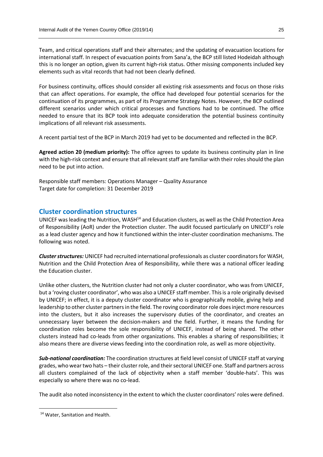Team, and critical operations staff and their alternates; and the updating of evacuation locations for international staff. In respect of evacuation points from Sana'a, the BCP still listed Hodeidah although this is no longer an option, given its current high-risk status. Other missing components included key elements such as vital records that had not been clearly defined.

For business continuity, offices should consider all existing risk assessments and focus on those risks that can affect operations. For example, the office had developed four potential scenarios for the continuation of its programmes, as part of its Programme Strategy Notes. However, the BCP outlined different scenarios under which critical processes and functions had to be continued. The office needed to ensure that its BCP took into adequate consideration the potential business continuity implications of all relevant risk assessments.

A recent partial test of the BCP in March 2019 had yet to be documented and reflected in the BCP.

**Agreed action 20 (medium priority):** The office agrees to update its business continuity plan in line with the high-risk context and ensure that all relevant staff are familiar with their rolesshould the plan need to be put into action.

Responsible staff members: Operations Manager – Quality Assurance Target date for completion: 31 December 2019

# **Cluster coordination structures**

UNICEF was leading the Nutrition, WASH<sup>14</sup> and Education clusters, as well as the Child Protection Area of Responsibility (AoR) under the Protection cluster. The audit focused particularly on UNICEF's role as a lead cluster agency and how it functioned within the inter-cluster coordination mechanisms. The following was noted.

*Cluster structures:* UNICEF had recruited international professionals as cluster coordinators for WASH, Nutrition and the Child Protection Area of Responsibility, while there was a national officer leading the Education cluster.

Unlike other clusters, the Nutrition cluster had not only a cluster coordinator, who was from UNICEF, but a 'roving cluster coordinator', who was also a UNICEF staff member. This is a role originally devised by UNICEF; in effect, it is a deputy cluster coordinator who is geographically mobile, giving help and leadership to other cluster partners in the field. The roving coordinator role does inject more resources into the clusters, but it also increases the supervisory duties of the coordinator, and creates an unnecessary layer between the decision-makers and the field. Further, it means the funding for coordination roles become the sole responsibility of UNICEF, instead of being shared. The other clusters instead had co-leads from other organizations. This enables a sharing of responsibilities; it also means there are diverse views feeding into the coordination role, as well as more objectivity.

*Sub-national coordination:* The coordination structures at field level consist of UNICEF staff at varying grades, who wear two hats – their cluster role, and their sectoral UNICEF one. Staff and partners across all clusters complained of the lack of objectivity when a staff member 'double-hats'. This was especially so where there was no co-lead.

The audit also noted inconsistency in the extent to which the cluster coordinators' roles were defined.

**.** 

<sup>14</sup> Water, Sanitation and Health.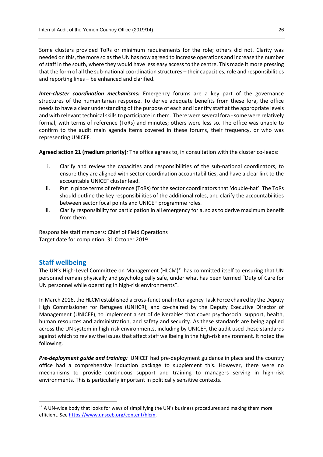Some clusters provided ToRs or minimum requirements for the role; others did not. Clarity was needed on this, the more so as the UN has now agreed to increase operations and increase the number of staff in the south, where they would have less easy access to the centre. This made it more pressing that the form of all the sub-national coordination structures – their capacities, role and responsibilities and reporting lines – be enhanced and clarified.

*Inter-cluster coordination mechanisms:* Emergency forums are a key part of the governance structures of the humanitarian response. To derive adequate benefits from these fora, the office needs to have a clear understanding of the purpose of each and identify staff at the appropriate levels and with relevant technical skills to participate in them. There were several fora - some were relatively formal, with terms of reference (ToRs) and minutes; others were less so. The office was unable to confirm to the audit main agenda items covered in these forums, their frequency, or who was representing UNICEF.

**Agreed action 21 (medium priority)***:* The office agrees to, in consultation with the cluster co-leads:

- i. Clarify and review the capacities and responsibilities of the sub-national coordinators, to ensure they are aligned with sector coordination accountabilities, and have a clear link to the accountable UNICEF cluster lead.
- ii. Put in place terms of reference (ToRs) for the sector coordinators that 'double-hat'. The ToRs should outline the key responsibilities of the additional roles, and clarify the accountabilities between sector focal points and UNICEF programme roles.
- iii. Clarify responsibility for participation in all emergency for a, so as to derive maximum benefit from them.

Responsible staff members: Chief of Field Operations Target date for completion: 31 October 2019

# **Staff wellbeing**

1

The UN's High-Level Committee on Management (HLCM)<sup>15</sup> has committed itself to ensuring that UN personnel remain physically and psychologically safe, under what has been termed "Duty of Care for UN personnel while operating in high-risk environments".

In March 2016, the HLCM established a cross-functional inter-agency Task Force chaired by the Deputy High Commissioner for Refugees (UNHCR), and co-chaired by the Deputy Executive Director of Management (UNICEF), to implement a set of deliverables that cover psychosocial support, health, human resources and administration, and safety and security. As these standards are being applied across the UN system in high-risk environments, including by UNICEF, the audit used these standards against which to review the issues that affect staff wellbeing in the high-risk environment. It noted the following.

*Pre-deployment guide and training:* UNICEF had pre-deployment guidance in place and the country office had a comprehensive induction package to supplement this. However, there were no mechanisms to provide continuous support and training to managers serving in high-risk environments. This is particularly important in politically sensitive contexts.

<sup>&</sup>lt;sup>15</sup> A UN-wide body that looks for ways of simplifying the UN's business procedures and making them more efficient. See [https://www.unsceb.org/content/hlcm.](https://www.unsceb.org/content/hlcm)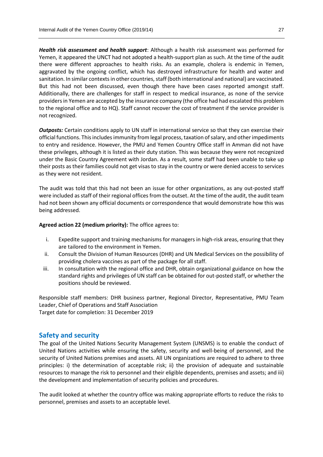*Health risk assessment and health support*: Although a health risk assessment was performed for Yemen, it appeared the UNCT had not adopted a health-support plan as such. At the time of the audit there were different approaches to health risks. As an example, cholera is endemic in Yemen, aggravated by the ongoing conflict, which has destroyed infrastructure for health and water and sanitation. In similar contexts in other countries, staff (both international and national) are vaccinated. But this had not been discussed, even though there have been cases reported amongst staff. Additionally, there are challenges for staff in respect to medical insurance, as none of the service providers in Yemen are accepted by the insurance company (the office had had escalated this problem to the regional office and to HQ). Staff cannot recover the cost of treatment if the service provider is not recognized.

*Outposts:* Certain conditions apply to UN staff in international service so that they can exercise their official functions. This includes immunity from legal process, taxation of salary, and other impediments to entry and residence. However, the PMU and Yemen Country Office staff in Amman did not have these privileges, although it is listed as their duty station. This was because they were not recognized under the Basic Country Agreement with Jordan. As a result, some staff had been unable to take up their posts as their families could not get visas to stay in the country or were denied access to services as they were not resident.

The audit was told that this had not been an issue for other organizations, as any out-posted staff were included as staff of their regional offices from the outset. At the time of the audit, the audit team had not been shown any official documents or correspondence that would demonstrate how this was being addressed.

#### **Agreed action 22 (medium priority):** The office agrees to:

- i. Expedite support and training mechanisms for managers in high-risk areas, ensuring that they are tailored to the environment in Yemen.
- ii. Consult the Division of Human Resources (DHR) and UN Medical Services on the possibility of providing cholera vaccines as part of the package for all staff.
- iii. In consultation with the regional office and DHR, obtain organizational guidance on how the standard rights and privileges of UN staff can be obtained for out-posted staff, or whether the positions should be reviewed.

Responsible staff members: DHR business partner, Regional Director, Representative, PMU Team Leader, Chief of Operations and Staff Association Target date for completion: 31 December 2019

### **Safety and security**

The goal of the United Nations Security Management System (UNSMS) is to enable the conduct of United Nations activities while ensuring the safety, security and well-being of personnel, and the security of United Nations premises and assets. All UN organizations are required to adhere to three principles: i) the determination of acceptable risk; ii) the provision of adequate and sustainable resources to manage the risk to personnel and their eligible dependents, premises and assets; and iii) the development and implementation of security policies and procedures.

The audit looked at whether the country office was making appropriate efforts to reduce the risks to personnel, premises and assets to an acceptable level.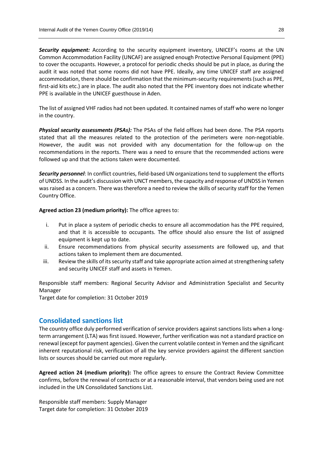*Security equipment:* According to the security equipment inventory, UNICEF's rooms at the UN Common Accommodation Facility (UNCAF) are assigned enough Protective Personal Equipment (PPE) to cover the occupants. However, a protocol for periodic checks should be put in place, as during the audit it was noted that some rooms did not have PPE. Ideally, any time UNICEF staff are assigned accommodation, there should be confirmation that the minimum-security requirements (such as PPE, first-aid kits etc.) are in place. The audit also noted that the PPE inventory does not indicate whether PPE is available in the UNICEF guesthouse in Aden.

The list of assigned VHF radios had not been updated. It contained names of staff who were no longer in the country.

*Physical security assessments (PSAs):* The PSAs of the field offices had been done. The PSA reports stated that all the measures related to the protection of the perimeters were non-negotiable. However, the audit was not provided with any documentation for the follow-up on the recommendations in the reports. There was a need to ensure that the recommended actions were followed up and that the actions taken were documented.

*Security personnel*: In conflict countries, field-based UN organizations tend to supplement the efforts of UNDSS. In the audit's discussion with UNCT members, the capacity and response of UNDSS in Yemen was raised as a concern. There was therefore a need to review the skills of security staff for the Yemen Country Office.

**Agreed action 23 (medium priority):** The office agrees to:

- i. Put in place a system of periodic checks to ensure all accommodation has the PPE required, and that it is accessible to occupants. The office should also ensure the list of assigned equipment is kept up to date.
- ii. Ensure recommendations from physical security assessments are followed up, and that actions taken to implement them are documented.
- iii. Review the skills of its security staff and take appropriate action aimed at strengthening safety and security UNICEF staff and assets in Yemen.

Responsible staff members: Regional Security Advisor and Administration Specialist and Security Manager

Target date for completion: 31 October 2019

# **Consolidated sanctions list**

The country office duly performed verification of service providers against sanctions lists when a longterm arrangement (LTA) was first issued. However, further verification was not a standard practice on renewal (except for payment agencies). Given the current volatile context in Yemen and the significant inherent reputational risk, verification of all the key service providers against the different sanction lists or sources should be carried out more regularly.

**Agreed action 24 (medium priority):** The office agrees to ensure the Contract Review Committee confirms, before the renewal of contracts or at a reasonable interval, that vendors being used are not included in the UN Consolidated Sanctions List.

Responsible staff members: Supply Manager Target date for completion: 31 October 2019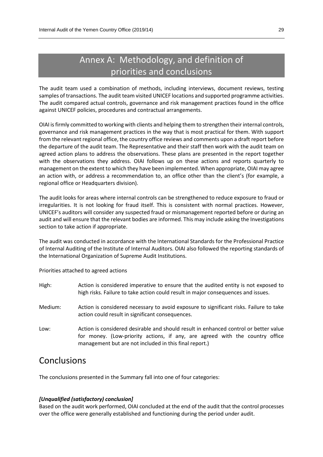# Annex A: Methodology, and definition of priorities and conclusions

The audit team used a combination of methods, including interviews, document reviews, testing samples of transactions. The audit team visited UNICEF locations and supported programme activities. The audit compared actual controls, governance and risk management practices found in the office against UNICEF policies, procedures and contractual arrangements.

OIAI is firmly committed to working with clients and helping them to strengthen their internal controls, governance and risk management practices in the way that is most practical for them. With support from the relevant regional office, the country office reviews and comments upon a draft report before the departure of the audit team. The Representative and their staff then work with the audit team on agreed action plans to address the observations. These plans are presented in the report together with the observations they address. OIAI follows up on these actions and reports quarterly to management on the extent to which they have been implemented. When appropriate, OIAI may agree an action with, or address a recommendation to, an office other than the client's (for example, a regional office or Headquarters division).

The audit looks for areas where internal controls can be strengthened to reduce exposure to fraud or irregularities. It is not looking for fraud itself. This is consistent with normal practices. However, UNICEF's auditors will consider any suspected fraud or mismanagement reported before or during an audit and will ensure that the relevant bodies are informed. This may include asking the Investigations section to take action if appropriate.

The audit was conducted in accordance with the International Standards for the Professional Practice of Internal Auditing of the Institute of Internal Auditors. OIAI also followed the reporting standards of the International Organization of Supreme Audit Institutions.

Priorities attached to agreed actions

| High:   | Action is considered imperative to ensure that the audited entity is not exposed to<br>high risks. Failure to take action could result in major consequences and issues.                                                       |
|---------|--------------------------------------------------------------------------------------------------------------------------------------------------------------------------------------------------------------------------------|
| Medium: | Action is considered necessary to avoid exposure to significant risks. Failure to take<br>action could result in significant consequences.                                                                                     |
| Low:    | Action is considered desirable and should result in enhanced control or better value<br>for money. (Low-priority actions, if any, are agreed with the country office<br>management but are not included in this final report.) |

# **Conclusions**

The conclusions presented in the Summary fall into one of four categories:

### *[Unqualified (satisfactory) conclusion]*

Based on the audit work performed, OIAI concluded at the end of the audit that the control processes over the office were generally established and functioning during the period under audit.